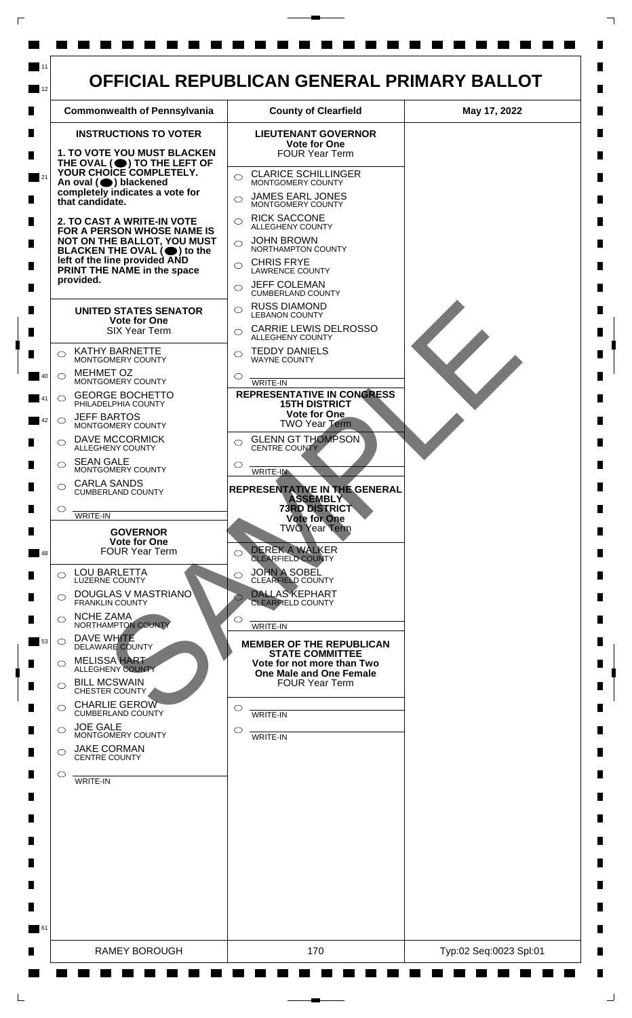

 $\mathsf{L}$